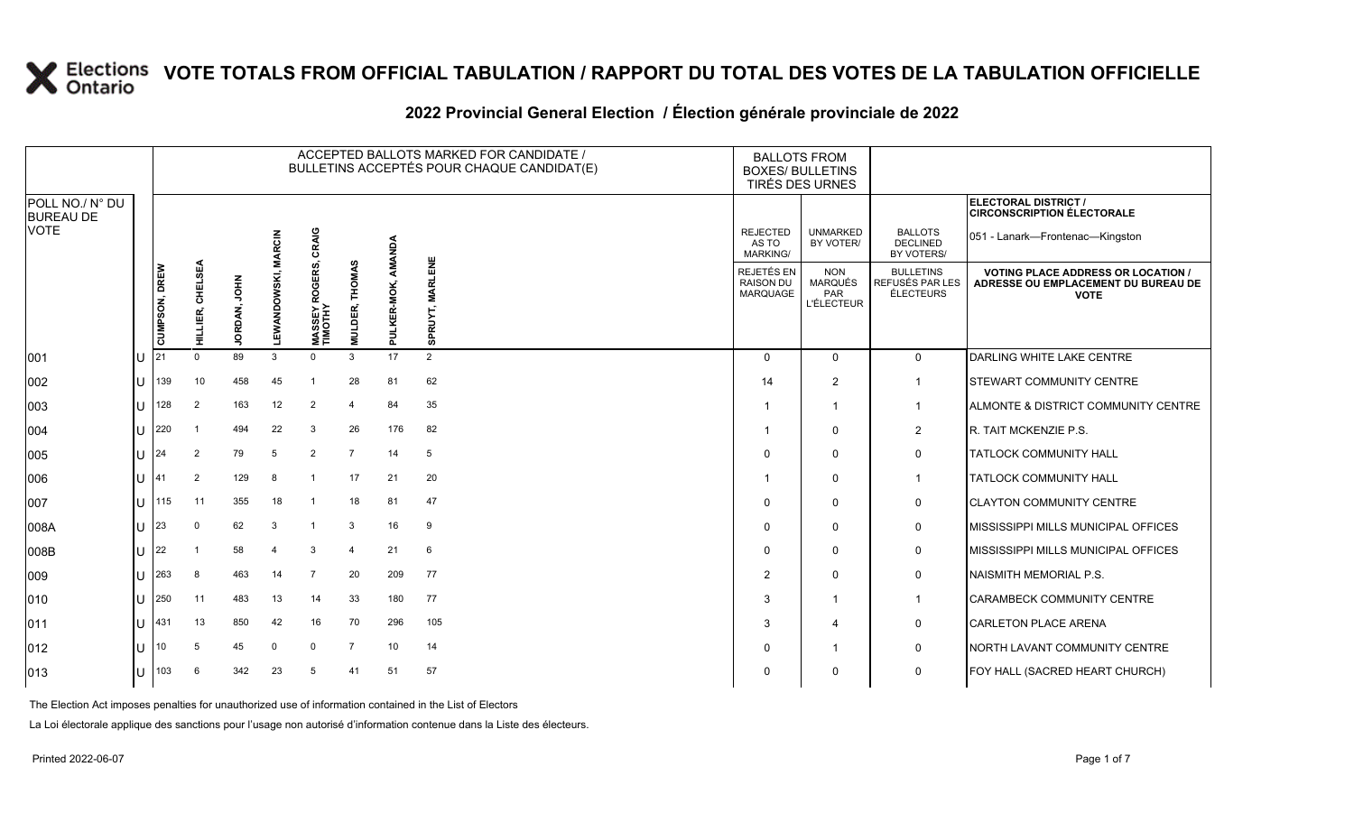### **2022 Provincial General Election / Élection générale provinciale de 2022**

|                                     |   |               |                  |              |              |                           |                                 |             | ACCEPTED BALLOTS MARKED FOR CANDIDATE /<br>BULLETINS ACCEPTÉS POUR CHAQUE CANDIDAT(E) | <b>BALLOTS FROM</b><br><b>BOXES/ BULLETINS</b><br>TIRÉS DES URNES |                                                          |                                                  |                                                                                               |
|-------------------------------------|---|---------------|------------------|--------------|--------------|---------------------------|---------------------------------|-------------|---------------------------------------------------------------------------------------|-------------------------------------------------------------------|----------------------------------------------------------|--------------------------------------------------|-----------------------------------------------------------------------------------------------|
| POLL NO./ N° DU<br><b>BUREAU DE</b> |   |               |                  |              |              |                           |                                 |             |                                                                                       |                                                                   |                                                          |                                                  | <b>ELECTORAL DISTRICT /</b><br><b>CIRCONSCRIPTION ÉLECTORALE</b>                              |
| <b>VOTE</b>                         |   |               |                  |              | <b>RCIN</b>  | CRAIG                     |                                 | AMANDA      |                                                                                       | <b>REJECTED</b><br>AS TO<br>MARKING/                              | <b>UNMARKED</b><br>BY VOTER/                             | <b>BALLOTS</b><br><b>DECLINED</b><br>BY VOTERS/  | 051 - Lanark-Frontenac-Kingston                                                               |
|                                     |   | CUMPSON, DREW | HILLIER, CHELSEA | JORDAN, JOHN | LEWANDOWSKI, | MASSEY ROGERS,<br>TIMOTHY | <b>THOMAS</b><br><b>MULDER,</b> | PULKER-MOK, | <b>MARLENE</b><br>SPRUYT                                                              | <b>REJETÉS EN</b><br><b>RAISON DU</b><br><b>MARQUAGE</b>          | <b>NON</b><br><b>MARQUÉS</b><br>PAR<br><b>L'ÉLECTEUR</b> | <b>BULLETINS</b><br>REFUSÉS PAR LES<br>ÉLECTEURS | <b>VOTING PLACE ADDRESS OR LOCATION</b><br>ADRESSE OU EMPLACEMENT DU BUREAU DE<br><b>VOTE</b> |
| 001                                 |   | 21            | $\Omega$         | 89           | 3            | $\Omega$                  | 3                               | 17          | $\overline{2}$                                                                        | $\Omega$                                                          | $\Omega$                                                 | $\mathbf 0$                                      | DARLING WHITE LAKE CENTRE                                                                     |
| 002                                 | U | 139           | 10               | 458          | 45           |                           | 28                              | 81          | 62                                                                                    | 14                                                                | $\overline{2}$                                           | $\mathbf{1}$                                     | STEWART COMMUNITY CENTRE                                                                      |
| 003                                 | U | 128           | $\overline{2}$   | 163          | 12           | $\overline{2}$            | 4                               | 84          | 35                                                                                    |                                                                   |                                                          | $\mathbf{1}$                                     | ALMONTE & DISTRICT COMMUNITY CENTRE                                                           |
| 004                                 | U | 220           |                  | 494          | 22           | 3                         | 26                              | 176         | 82                                                                                    |                                                                   | $\Omega$                                                 | $\overline{2}$                                   | R. TAIT MCKENZIE P.S.                                                                         |
| 005                                 | U | 24            | $\overline{2}$   | 79           | 5            | $\overline{2}$            | $\overline{7}$                  | 14          | 5                                                                                     | $\Omega$                                                          | $\mathbf 0$                                              | 0                                                | <b>TATLOCK COMMUNITY HALL</b>                                                                 |
| 006                                 | U | 41            | 2                | 129          | 8            |                           | 17                              | 21          | 20                                                                                    |                                                                   | $\Omega$                                                 | $\mathbf{1}$                                     | <b>TATLOCK COMMUNITY HALL</b>                                                                 |
| 007                                 | U | 115           | 11               | 355          | 18           |                           | 18                              | 81          | 47                                                                                    | $\Omega$                                                          | $\Omega$                                                 | $\mathbf 0$                                      | <b>CLAYTON COMMUNITY CENTRE</b>                                                               |
| 008A                                | U | 23            |                  | 62           | 3            |                           | 3                               | 16          | 9                                                                                     | $\Omega$                                                          | $\Omega$                                                 | 0                                                | MISSISSIPPI MILLS MUNICIPAL OFFICES                                                           |
| 008B                                | U | 22            |                  | 58           | 4            | 3                         | $\overline{4}$                  | 21          | 6                                                                                     | $\Omega$                                                          | $\Omega$                                                 | $\mathbf 0$                                      | MISSISSIPPI MILLS MUNICIPAL OFFICES                                                           |
| 009                                 | U | 263           | -8               | 463          | 14           | 7                         | 20                              | 209         | 77                                                                                    | $\overline{2}$                                                    | $\Omega$                                                 | 0                                                | NAISMITH MEMORIAL P.S.                                                                        |
| 010                                 | U | 250           | 11               | 483          | 13           | 14                        | 33                              | 180         | 77                                                                                    | 3                                                                 |                                                          | $\mathbf{1}$                                     | CARAMBECK COMMUNITY CENTRE                                                                    |
| 011                                 | U | 431           | 13               | 850          | 42           | 16                        | 70                              | 296         | 105                                                                                   | 3                                                                 | $\boldsymbol{\Delta}$                                    | 0                                                | <b>CARLETON PLACE ARENA</b>                                                                   |
| 012                                 | U | 10            | -5               | 45           | $\Omega$     | $\mathbf 0$               | $\overline{7}$                  | 10          | 14                                                                                    | $\Omega$                                                          |                                                          | 0                                                | NORTH LAVANT COMMUNITY CENTRE                                                                 |
| 013                                 | U | 103           | -6               | 342          | 23           | 5                         | 41                              | 51          | 57                                                                                    | 0                                                                 | $\Omega$                                                 | $\mathbf 0$                                      | FOY HALL (SACRED HEART CHURCH)                                                                |

The Election Act imposes penalties for unauthorized use of information contained in the List of Electors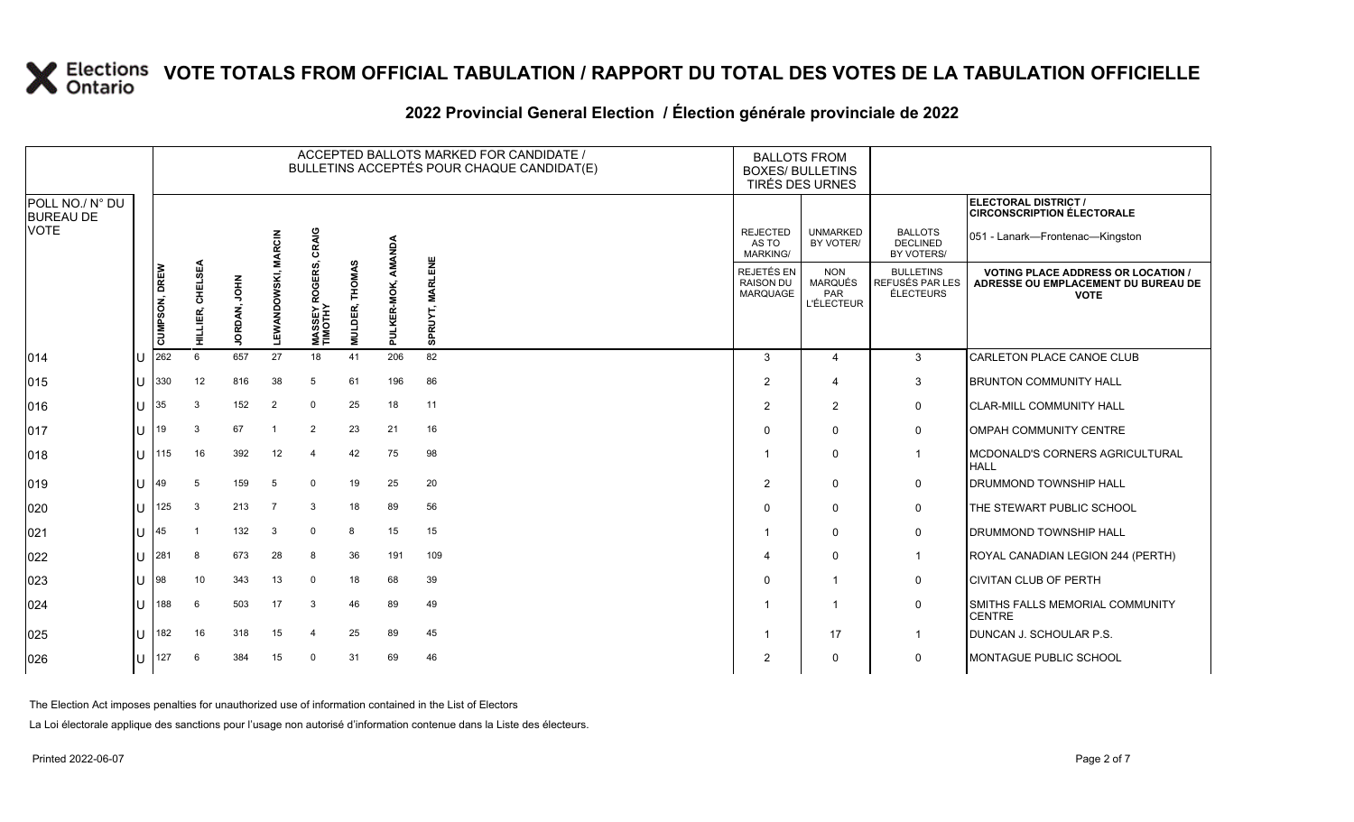|                                                    |               |                 |                |                     |                           |               |          | ACCEPTED BALLOTS MARKED FOR CANDIDATE /<br>BULLETINS ACCEPTÉS POUR CHAQUE CANDIDAT(E) |                                                   | <b>BALLOTS FROM</b><br><b>BOXES/ BULLETINS</b><br><b>TIRÉS DES URNES</b> |                                                         |                                                                                                 |
|----------------------------------------------------|---------------|-----------------|----------------|---------------------|---------------------------|---------------|----------|---------------------------------------------------------------------------------------|---------------------------------------------------|--------------------------------------------------------------------------|---------------------------------------------------------|-------------------------------------------------------------------------------------------------|
| POLL NO./ N° DU<br><b>BUREAU DE</b><br><b>VOTE</b> |               |                 |                |                     | CRAIG                     |               | λσN      |                                                                                       | <b>REJECTED</b><br>AS TO                          | <b>UNMARKED</b><br>BY VOTER/                                             | <b>BALLOTS</b><br><b>DECLINED</b>                       | ELECTORAL DISTRICT /<br><b>CIRCONSCRIPTION ÉLECTORALE</b><br>051 - Lanark-Frontenac-Kingston    |
|                                                    |               |                 |                | <b>MARCIN</b>       |                           |               | AMA      |                                                                                       | <b>MARKING/</b>                                   |                                                                          | BY VOTERS/                                              |                                                                                                 |
|                                                    | CUMPSON, DREW | CHELSEA         | Š              | <b>LEWANDOWSKI,</b> | MASSEY ROGERS,<br>TIMOTHY | <b>THOMAS</b> | KER-MOK, | <b>MARLENE</b>                                                                        | <b>REJETÉS EN</b><br><b>RAISON DU</b><br>MARQUAGE | <b>NON</b><br>MARQUÉS<br>PAR<br><b>L'ÉLECTEUR</b>                        | <b>BULLETINS</b><br>REFUSÉS PAR LES<br><b>ÉLECTEURS</b> | <b>VOTING PLACE ADDRESS OR LOCATION /</b><br>ADRESSE OU EMPLACEMENT DU BUREAU DE<br><b>VOTE</b> |
|                                                    |               | HILLIER,        | <b>JORDAN,</b> |                     |                           | MULDER,       | Ξ        | SPRUYT                                                                                |                                                   |                                                                          |                                                         |                                                                                                 |
| 014                                                | 262           | $6\overline{6}$ | 657            | 27                  | 18                        | 41            | 206      | 82                                                                                    | 3                                                 | $\overline{4}$                                                           | 3                                                       | CARLETON PLACE CANOE CLUB                                                                       |
| 015                                                | 330           | 12              | 816            | 38                  | 5                         | 61            | 196      | 86                                                                                    | $\overline{2}$                                    | $\overline{4}$                                                           | 3                                                       | <b>BRUNTON COMMUNITY HALL</b>                                                                   |
| 016                                                | 35            | 3               | 152            | $\overline{2}$      | $\mathbf 0$               | 25            | 18       | 11                                                                                    | 2                                                 | 2                                                                        | $\mathbf 0$                                             | <b>CLAR-MILL COMMUNITY HALL</b>                                                                 |
| 017                                                | 19            | 3               | 67             |                     | $\overline{2}$            | 23            | 21       | 16                                                                                    | $\Omega$                                          | $\Omega$                                                                 | $\Omega$                                                | <b>OMPAH COMMUNITY CENTRE</b>                                                                   |
| 018                                                | 115           | 16              | 392            | 12                  | $\overline{4}$            | 42            | 75       | 98                                                                                    |                                                   | $\Omega$                                                                 | $\overline{\mathbf{1}}$                                 | MCDONALD'S CORNERS AGRICULTURAL<br><b>HALL</b>                                                  |
| 019                                                | 49            | -5              | 159            | 5                   | $\mathbf 0$               | 19            | 25       | 20                                                                                    | $\overline{2}$                                    | $\mathbf 0$                                                              | $\mathbf 0$                                             | <b>DRUMMOND TOWNSHIP HALL</b>                                                                   |
| 020                                                | 125           | 3               | 213            | $\overline{7}$      | 3                         | 18            | 89       | 56                                                                                    | $\Omega$                                          | $\Omega$                                                                 | $\mathbf 0$                                             | THE STEWART PUBLIC SCHOOL                                                                       |
| 021                                                | 45            |                 | 132            | -3                  | $\mathbf 0$               | 8             | 15       | 15                                                                                    |                                                   | $\mathbf 0$                                                              | $\mathbf 0$                                             | <b>DRUMMOND TOWNSHIP HALL</b>                                                                   |
| 022                                                | 281           | -8              | 673            | 28                  | 8                         | 36            | 191      | 109                                                                                   | Δ                                                 | $\Omega$                                                                 | $\overline{\mathbf{1}}$                                 | ROYAL CANADIAN LEGION 244 (PERTH)                                                               |
| 023                                                | 98            | 10              | 343            | 13                  | $\overline{0}$            | 18            | 68       | 39                                                                                    | $\Omega$                                          |                                                                          | 0                                                       | <b>CIVITAN CLUB OF PERTH</b>                                                                    |
| 024                                                | 188           | 6               | 503            | 17                  | 3                         | 46            | 89       | 49                                                                                    |                                                   |                                                                          | $\Omega$                                                | <b>SMITHS FALLS MEMORIAL COMMUNITY</b><br><b>CENTRE</b>                                         |

025 U 182 16 318 15 4 25 89 45 1 17 1 DUNCAN J. SCHOULAR P.S. 026 U 127 6 384 15 0 31 69 46 2 0 0 MONTAGUE PUBLIC SCHOOL

#### **2022 Provincial General Election / Élection générale provinciale de 2022**

The Election Act imposes penalties for unauthorized use of information contained in the List of Electors

La Loi électorale applique des sanctions pour l'usage non autorisé d'information contenue dans la Liste des électeurs.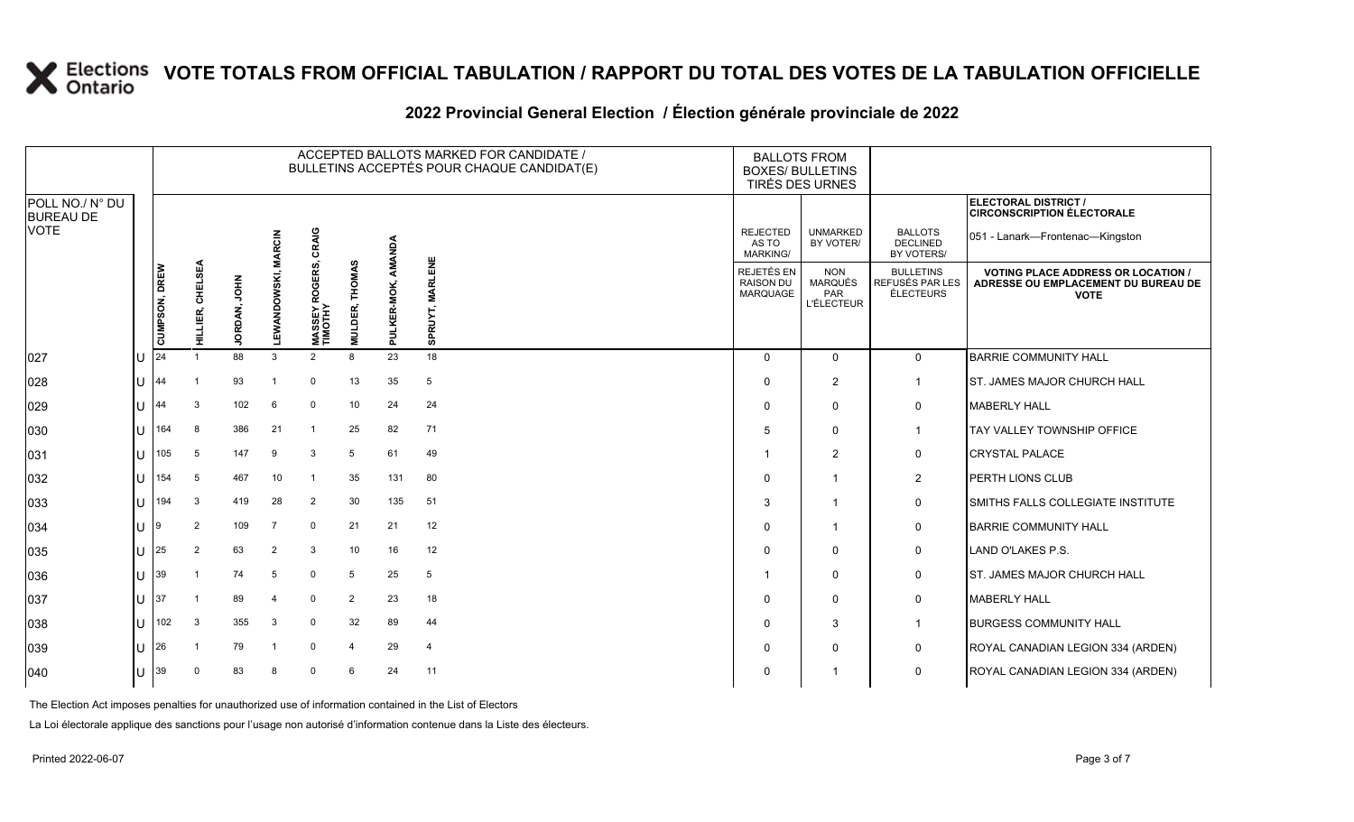#### **2022 Provincial General Election / Élection générale provinciale de 2022**

|                                     |              | ACCEPTED BALLOTS MARKED FOR CANDIDATE /<br>BULLETINS ACCEPTÉS POUR CHAQUE CANDIDAT(E) |                  |              |                     |                           |                                     |             |                          | <b>BALLOTS FROM</b><br><b>BOXES/ BULLETINS</b> | TIRÉS DES URNES                                          |                                                  |                                                                                               |
|-------------------------------------|--------------|---------------------------------------------------------------------------------------|------------------|--------------|---------------------|---------------------------|-------------------------------------|-------------|--------------------------|------------------------------------------------|----------------------------------------------------------|--------------------------------------------------|-----------------------------------------------------------------------------------------------|
| POLL NO./ N° DU<br><b>BUREAU DE</b> |              |                                                                                       |                  |              |                     |                           |                                     |             |                          |                                                |                                                          |                                                  | <b>ELECTORAL DISTRICT /</b><br><b>CIRCONSCRIPTION ÉLECTORALE</b>                              |
| <b>VOTE</b>                         |              |                                                                                       |                  |              | <b>MARCIN</b>       | CRAIG                     |                                     | AMANDA      |                          | <b>REJECTED</b><br>AS TO<br>MARKING/           | <b>UNMARKED</b><br>BY VOTER/                             | <b>BALLOTS</b><br><b>DECLINED</b><br>BY VOTERS/  | 051 - Lanark-Frontenac-Kingston                                                               |
|                                     |              | CUMPSON, DREW<br>24                                                                   | HILLIER, CHELSEA | JORDAN, JOHN | <b>LEWANDOWSKI,</b> | MASSEY ROGERS,<br>TIMOTHY | <b>THOMAS</b><br>DER,<br><b>MNT</b> | PULKER-MOK, | <b>MARLENE</b><br>SPRUYT | REJETÉS EN<br><b>RAISON DU</b><br>MARQUAGE     | <b>NON</b><br><b>MARQUÉS</b><br>PAR<br><b>L'ÉLECTEUR</b> | <b>BULLETINS</b><br>REFUSÉS PAR LES<br>ÉLECTEURS | <b>VOTING PLACE ADDRESS OR LOCATION</b><br>ADRESSE OU EMPLACEMENT DU BUREAU DE<br><b>VOTE</b> |
| 027                                 | U            |                                                                                       |                  | 88           | 3                   | 2                         | 8                                   | 23          | 18                       | $\Omega$                                       | $\mathbf{0}$                                             | $\mathbf 0$                                      | <b>BARRIE COMMUNITY HALL</b>                                                                  |
| 028                                 | lU           | 44                                                                                    |                  | 93           |                     | $\mathbf{0}$              | 13                                  | 35          | 5                        | $\Omega$                                       | $\overline{2}$                                           | $\mathbf{1}$                                     | ST. JAMES MAJOR CHURCH HALL                                                                   |
| 029                                 | U            | 44                                                                                    | 3                | 102          | 6                   | $\mathbf 0$               | 10                                  | 24          | 24                       | 0                                              | $\Omega$                                                 | 0                                                | <b>MABERLY HALL</b>                                                                           |
| 030                                 | $\mathbf{U}$ | 164                                                                                   | -8               | 386          | 21                  | $\mathbf{1}$              | 25                                  | 82          | 71                       | 5                                              | $\Omega$                                                 | $\mathbf{1}$                                     | TAY VALLEY TOWNSHIP OFFICE                                                                    |
| 031                                 | U            | 105                                                                                   | -5               | 147          | 9                   | 3                         | 5                                   | 61          | 49                       |                                                | $\overline{2}$                                           | 0                                                | <b>CRYSTAL PALACE</b>                                                                         |
| 032                                 | U            | 154                                                                                   | 5                | 467          | 10                  |                           | 35                                  | 131         | 80                       | $\Omega$                                       |                                                          | $\overline{2}$                                   | PERTH LIONS CLUB                                                                              |
| 033                                 | $\mathbf{U}$ | 194                                                                                   | 3                | 419          | 28                  | $\overline{2}$            | 30                                  | 135         | 51                       | 3                                              |                                                          | 0                                                | SMITHS FALLS COLLEGIATE INSTITUTE                                                             |
| 034                                 | U            | 9                                                                                     | $\overline{2}$   | 109          | $\overline{7}$      | $\mathbf 0$               | 21                                  | 21          | 12                       | $\Omega$                                       |                                                          | 0                                                | <b>BARRIE COMMUNITY HALL</b>                                                                  |
| 035                                 | U            | 25                                                                                    | $\overline{2}$   | 63           | $\overline{2}$      | 3                         | 10                                  | 16          | 12                       | $\Omega$                                       | $\Omega$                                                 | 0                                                | LAND O'LAKES P.S.                                                                             |
| 036                                 | ΙU           | 39                                                                                    | -1               | 74           | 5                   | $\overline{0}$            | -5                                  | 25          | 5                        |                                                | $\Omega$                                                 | 0                                                | ST. JAMES MAJOR CHURCH HALL                                                                   |
| 037                                 | U            | 37                                                                                    |                  | 89           | 4                   | $\mathbf 0$               | 2                                   | 23          | 18                       | $\Omega$                                       | $\mathbf 0$                                              | 0                                                | <b>MABERLY HALL</b>                                                                           |
| 038                                 | ΠT           | 102                                                                                   | -3               | 355          | 3                   | $\mathbf 0$               | 32                                  | 89          | 44                       | $\Omega$                                       | 3                                                        | $\mathbf{1}$                                     | <b>BURGESS COMMUNITY HALL</b>                                                                 |
| 039                                 | U            | 26                                                                                    |                  | 79           | - 1                 | $\mathbf 0$               | $\overline{4}$                      | 29          | $\overline{4}$           | $\Omega$                                       | 0                                                        | 0                                                | ROYAL CANADIAN LEGION 334 (ARDEN)                                                             |
| 040                                 | U            | 39                                                                                    | $\Omega$         | 83           | 8                   | $\Omega$                  | 6                                   | 24          | 11                       | $\Omega$                                       |                                                          | $\mathbf 0$                                      | ROYAL CANADIAN LEGION 334 (ARDEN)                                                             |

The Election Act imposes penalties for unauthorized use of information contained in the List of Electors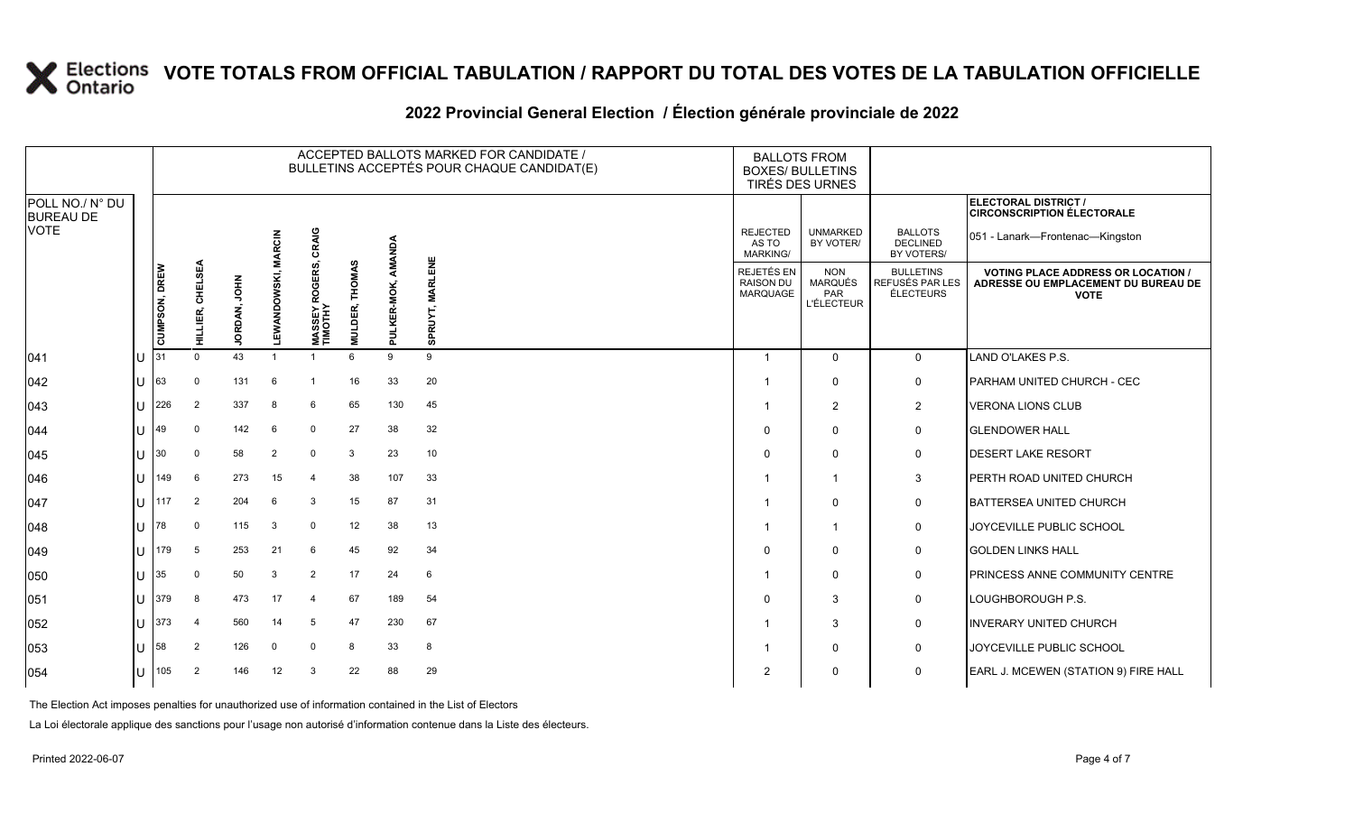#### **2022 Provincial General Election / Élection générale provinciale de 2022**

|                                     |              |               |                         |                 |                     |                           |                             |                       | ACCEPTED BALLOTS MARKED FOR CANDIDATE /<br>BULLETINS ACCEPTÉS POUR CHAQUE CANDIDAT(E) |                                                          | <b>BALLOTS FROM</b><br><b>BOXES/ BULLETINS</b><br>TIRÉS DES URNES |                                                  |                                                                                               |
|-------------------------------------|--------------|---------------|-------------------------|-----------------|---------------------|---------------------------|-----------------------------|-----------------------|---------------------------------------------------------------------------------------|----------------------------------------------------------|-------------------------------------------------------------------|--------------------------------------------------|-----------------------------------------------------------------------------------------------|
| POLL NO./ N° DU<br><b>BUREAU DE</b> |              |               |                         |                 |                     |                           |                             |                       |                                                                                       |                                                          |                                                                   |                                                  | ELECTORAL DISTRICT /<br><b>CIRCONSCRIPTION ÉLECTORALE</b>                                     |
| VOTE                                |              |               |                         |                 | <b>MARCIN</b>       | CRAIG                     |                             | Δđ                    |                                                                                       | <b>REJECTED</b><br>AS TO<br>MARKING/                     | <b>UNMARKED</b><br>BY VOTER/                                      | <b>BALLOTS</b><br><b>DECLINED</b><br>BY VOTERS/  | 051 - Lanark-Frontenac-Kingston                                                               |
|                                     |              | CUMPSON, DREW | <b>CHELSEA</b><br>LIER, | MHOL<br>JORDAN, | <b>LEWANDOWSKI,</b> | MASSEY ROGERS,<br>TIMOTHY | <b>THOMAS</b><br>DER,<br>Ē. | -MOK<br><b>PULKER</b> | <b>MARLENE</b><br><b>SPRUYT</b>                                                       | <b>REJETÉS EN</b><br><b>RAISON DU</b><br><b>MARQUAGE</b> | <b>NON</b><br><b>MARQUÉS</b><br>PAR<br><b>L'ÉLECTEUR</b>          | <b>BULLETINS</b><br>REFUSÉS PAR LES<br>ÉLECTEURS | <b>VOTING PLACE ADDRESS OR LOCATION</b><br>ADRESSE OU EMPLACEMENT DU BUREAU DE<br><b>VOTE</b> |
| 041                                 |              | 31            | $\Omega$                | 43              |                     | -1                        | 6                           | 9                     | 9                                                                                     | -1                                                       | $\Omega$                                                          | $\mathbf 0$                                      | LAND O'LAKES P.S.                                                                             |
| 042                                 | $\cup$       | 63            | $\Omega$                | 131             | 6                   | -1                        | 16                          | 33                    | 20                                                                                    |                                                          | $\Omega$                                                          | 0                                                | PARHAM UNITED CHURCH - CEC                                                                    |
| 043                                 | ΙU           | 226           | $\overline{2}$          | 337             | -8                  | 6                         | 65                          | 130                   | 45                                                                                    |                                                          | 2                                                                 | $\overline{2}$                                   | <b>VERONA LIONS CLUB</b>                                                                      |
| 044                                 | $\mathbf{U}$ | 49            | $\mathbf 0$             | 142             | 6                   | $\mathbf{0}$              | 27                          | 38                    | 32                                                                                    | $\Omega$                                                 | $\Omega$                                                          | 0                                                | <b>GLENDOWER HALL</b>                                                                         |
| 045                                 | U            | 30            | $\Omega$                | 58              | $\overline{2}$      | $\mathbf 0$               | 3                           | 23                    | 10                                                                                    | $\Omega$                                                 | $\Omega$                                                          | 0                                                | <b>DESERT LAKE RESORT</b>                                                                     |
| 046                                 | ΙU           | 149           | 6                       | 273             | 15                  | $\overline{4}$            | 38                          | 107                   | 33                                                                                    |                                                          | $\overline{1}$                                                    | 3                                                | PERTH ROAD UNITED CHURCH                                                                      |
| 047                                 | $\mathbf{U}$ | 117           | $\overline{2}$          | 204             | 6                   | 3                         | 15                          | 87                    | 31                                                                                    |                                                          | $\Omega$                                                          | 0                                                | <b>BATTERSEA UNITED CHURCH</b>                                                                |
| 048                                 | $\mathbf{U}$ | 78            | $\mathbf 0$             | 115             | 3                   | 0                         | 12                          | 38                    | 13                                                                                    |                                                          | -1                                                                | 0                                                | JOYCEVILLE PUBLIC SCHOOL                                                                      |
| 049                                 | ΙU           | 179           | 5                       | 253             | 21                  | 6                         | 45                          | 92                    | 34                                                                                    | $\Omega$                                                 | $\Omega$                                                          | 0                                                | <b>GOLDEN LINKS HALL</b>                                                                      |
| 050                                 | U            | 35            | $\Omega$                | 50              | 3                   | $\overline{2}$            | 17                          | 24                    | 6                                                                                     |                                                          | $\Omega$                                                          | 0                                                | PRINCESS ANNE COMMUNITY CENTRE                                                                |
| 051                                 | $\cup$       | 379           | 8                       | 473             | 17                  | $\overline{4}$            | 67                          | 189                   | 54                                                                                    | $\Omega$                                                 | 3                                                                 | 0                                                | LOUGHBOROUGH P.S.                                                                             |
| 052                                 | ΙU           | 373           | $\overline{4}$          | 560             | 14                  | 5                         | 47                          | 230                   | 67                                                                                    |                                                          | 3                                                                 | 0                                                | <b>INVERARY UNITED CHURCH</b>                                                                 |
| 053                                 | lU.          | 58            | 2                       | 126             | $\mathbf 0$         | $\Omega$                  | 8                           | 33                    | 8                                                                                     |                                                          | $\Omega$                                                          | 0                                                | JOYCEVILLE PUBLIC SCHOOL                                                                      |
| 054                                 | $\cup$       | 105           | $\overline{2}$          | 146             | 12                  | 3                         | 22                          | 88                    | 29                                                                                    | 2                                                        | $\mathbf{0}$                                                      | $\mathbf 0$                                      | EARL J. MCEWEN (STATION 9) FIRE HALL                                                          |

The Election Act imposes penalties for unauthorized use of information contained in the List of Electors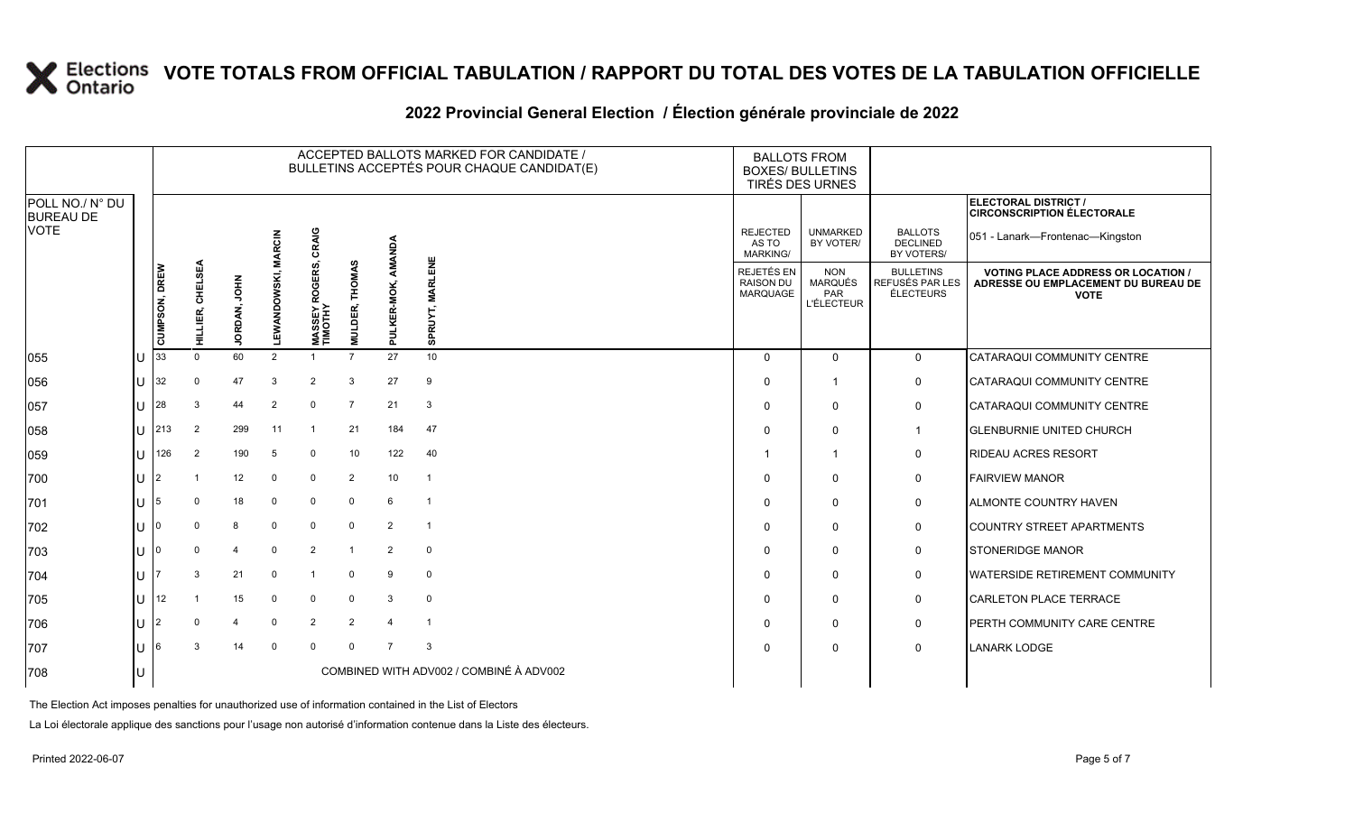### **2022 Provincial General Election / Élection générale provinciale de 2022**

|                                     |   |               |                  |              |               |                                           |                     |                | ACCEPTED BALLOTS MARKED FOR CANDIDATE /<br>BULLETINS ACCEPTÉS POUR CHAQUE CANDIDAT(E) | <b>BALLOTS FROM</b><br><b>BOXES/ BULLETINS</b><br>TIRÉS DES URNES |                                                   |                                                  |                                                                                                 |
|-------------------------------------|---|---------------|------------------|--------------|---------------|-------------------------------------------|---------------------|----------------|---------------------------------------------------------------------------------------|-------------------------------------------------------------------|---------------------------------------------------|--------------------------------------------------|-------------------------------------------------------------------------------------------------|
| POLL NO./ N° DU<br><b>BUREAU DE</b> |   |               |                  |              |               |                                           |                     |                |                                                                                       |                                                                   |                                                   |                                                  | <b>ELECTORAL DISTRICT /</b><br><b>CIRCONSCRIPTION ÉLECTORALE</b>                                |
| <b>VOTE</b>                         |   |               |                  |              | <b>MARCIN</b> | CRAIG                                     | ဖာ                  | AMANDA         |                                                                                       | <b>REJECTED</b><br>AS TO<br><b>MARKING/</b>                       | <b>UNMARKED</b><br>BY VOTER/                      | <b>BALLOTS</b><br><b>DECLINED</b><br>BY VOTERS/  | 051 - Lanark-Frontenac-Kingston                                                                 |
|                                     |   | CUMPSON, DREW | HILLIER, CHELSEA | JORDAN, JOHN | LEWANDOWSKI,  | ERS,<br>ROGI<br><b>MASSEYF</b><br>TIMOTHY | THOMA<br>DER,<br>ŠЧ | PULKER-MOK,    | MARLENE<br>SPRUYT,                                                                    | REJETÉS EN<br><b>RAISON DU</b><br><b>MARQUAGE</b>                 | <b>NON</b><br>MARQUÉS<br>PAR<br><b>L'ÉLECTEUR</b> | <b>BULLETINS</b><br>REFUSÉS PAR LES<br>ÉLECTEURS | <b>VOTING PLACE ADDRESS OR LOCATION /</b><br>ADRESSE OU EMPLACEMENT DU BUREAU DE<br><b>VOTE</b> |
| 055                                 |   | 33            | $\Omega$         | 60           | 2             |                                           | $\overline{7}$      | 27             | 10                                                                                    | $\Omega$                                                          | $\Omega$                                          | $\mathbf 0$                                      | CATARAQUI COMMUNITY CENTRE                                                                      |
| 056                                 | U | 32            | $\mathbf 0$      | 47           | 3             | $\overline{2}$                            | 3                   | 27             | 9                                                                                     | $\Omega$                                                          | -1                                                | 0                                                | CATARAQUI COMMUNITY CENTRE                                                                      |
| 057                                 | U | 28            | 3                | 44           | 2             | $\mathbf 0$                               | $\overline{7}$      | 21             | 3                                                                                     | $\Omega$                                                          | $\Omega$                                          | 0                                                | CATARAQUI COMMUNITY CENTRE                                                                      |
| 058                                 | U | 213           | 2                | 299          | 11            | $\overline{1}$                            | 21                  | 184            | 47                                                                                    | $\Omega$                                                          | $\Omega$                                          | $\overline{1}$                                   | <b>GLENBURNIE UNITED CHURCH</b>                                                                 |
| 059                                 | U | 126           | 2                | 190          | 5             | $\mathbf 0$                               | 10                  | 122            | 40                                                                                    |                                                                   | $\overline{\mathbf{1}}$                           | 0                                                | <b>RIDEAU ACRES RESORT</b>                                                                      |
| 700                                 | U | 2             |                  | 12           | $\Omega$      | $\mathbf{0}$                              | $\overline{2}$      | 10             | $\overline{1}$                                                                        | $\Omega$                                                          | $\Omega$                                          | 0                                                | <b>FAIRVIEW MANOR</b>                                                                           |
| 701                                 |   | 5             | $\Omega$         | 18           | $\Omega$      | $\mathbf 0$                               | $\mathbf 0$         | 6              | $\overline{1}$                                                                        | $\Omega$                                                          | $\Omega$                                          | 0                                                | <b>ALMONTE COUNTRY HAVEN</b>                                                                    |
| 702                                 | U |               | $\Omega$         | 8            | $\mathbf 0$   | $\mathbf 0$                               | $\mathbf 0$         | 2              | $\overline{1}$                                                                        | $\Omega$                                                          | $\Omega$                                          | 0                                                | <b>COUNTRY STREET APARTMENTS</b>                                                                |
| 703                                 | U |               | $\Omega$         | 4            | $\Omega$      | $\overline{2}$                            | $\overline{1}$      | 2              | $\mathbf 0$                                                                           | $\Omega$                                                          | $\Omega$                                          | 0                                                | <b>STONERIDGE MANOR</b>                                                                         |
| 704                                 |   |               | 3                | 21           | $\Omega$      | $\overline{1}$                            | $\Omega$            | 9              | $\mathbf{0}$                                                                          | $\Omega$                                                          | $\mathbf 0$                                       | $\mathbf 0$                                      | <b>IWATERSIDE RETIREMENT COMMUNITY</b>                                                          |
| 705                                 | U | 12            |                  | 15           | $\mathbf 0$   | $\mathbf 0$                               | $\mathbf 0$         | 3              | $\mathbf 0$                                                                           | $\Omega$                                                          | $\mathbf{0}$                                      | 0                                                | <b>CARLETON PLACE TERRACE</b>                                                                   |
| 706                                 | U | 2             | $\Omega$         | 4            | $\Omega$      | 2                                         | 2                   |                | - 1                                                                                   | $\Omega$                                                          | $\mathbf 0$                                       | 0                                                | PERTH COMMUNITY CARE CENTRE                                                                     |
| 707                                 | U |               | 3                | 14           | $\mathbf 0$   | $\mathbf 0$                               | $\Omega$            | $\overline{7}$ | 3                                                                                     | $\Omega$                                                          | $\mathbf{0}$                                      | $\mathbf 0$                                      | <b>LANARK LODGE</b>                                                                             |
| 708                                 |   |               |                  |              |               |                                           |                     |                | COMBINED WITH ADV002 / COMBINÉ À ADV002                                               |                                                                   |                                                   |                                                  |                                                                                                 |

The Election Act imposes penalties for unauthorized use of information contained in the List of Electors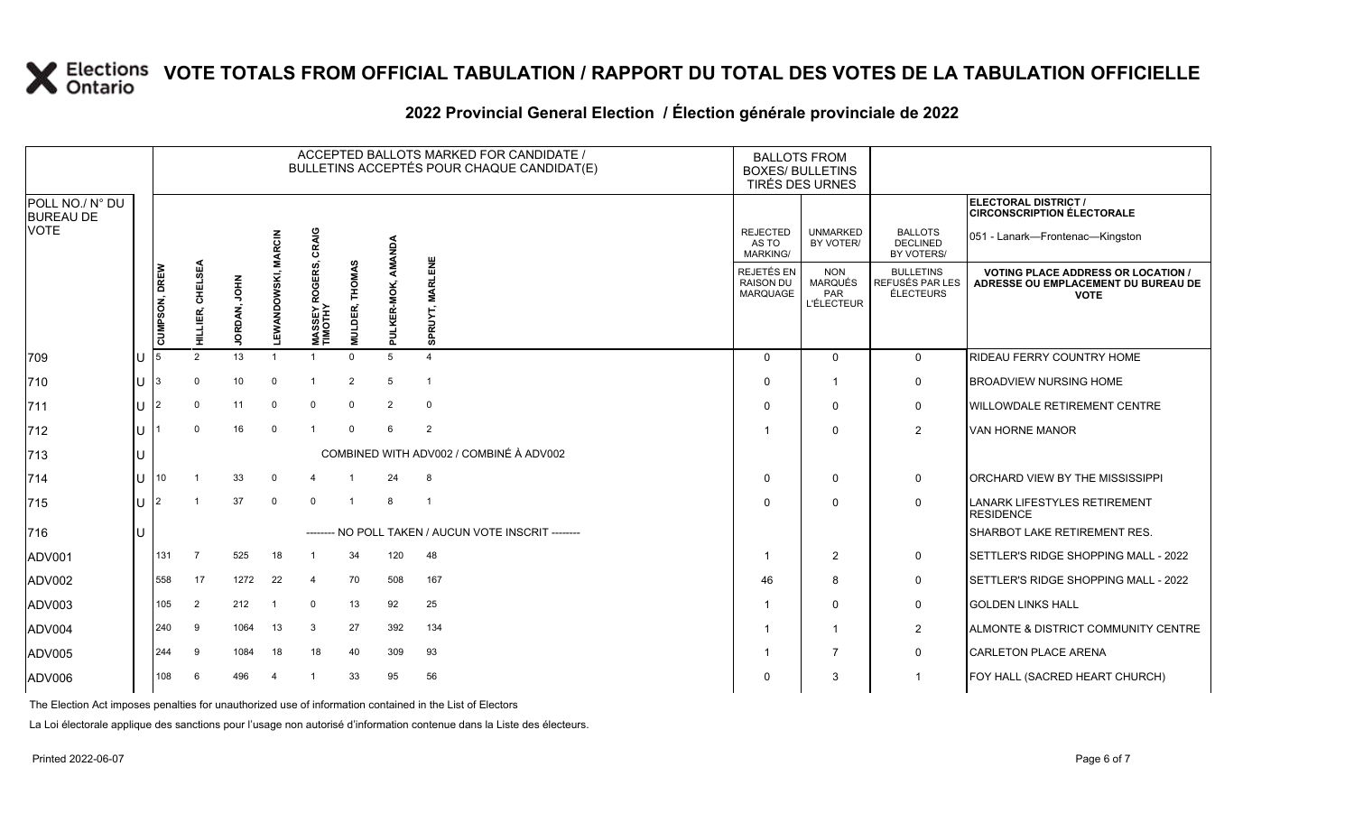#### **2022 Provincial General Election / Élection générale provinciale de 2022**

|                                     |     |                |                     |              |                            |                           |                                     |                | ACCEPTED BALLOTS MARKED FOR CANDIDATE /<br>BULLETINS ACCEPTÉS POUR CHAQUE CANDIDAT(E) | <b>BALLOTS FROM</b><br><b>BOXES/ BULLETINS</b>    | TIRÉS DES URNES                                          |                                                         |                                                                                                 |
|-------------------------------------|-----|----------------|---------------------|--------------|----------------------------|---------------------------|-------------------------------------|----------------|---------------------------------------------------------------------------------------|---------------------------------------------------|----------------------------------------------------------|---------------------------------------------------------|-------------------------------------------------------------------------------------------------|
| POLL NO./ N° DU<br><b>BUREAU DE</b> |     |                |                     |              |                            |                           |                                     |                |                                                                                       |                                                   |                                                          |                                                         | ELECTORAL DISTRICT /<br><b>CIRCONSCRIPTION ÉLECTORALE</b>                                       |
| <b>VOTE</b>                         |     |                |                     |              |                            | CRAIG                     |                                     | AMANDA         |                                                                                       | <b>REJECTED</b><br>AS TO<br><b>MARKING/</b>       | <b>UNMARKED</b><br>BY VOTER/                             | <b>BALLOTS</b><br>DECLINED<br>BY VOTERS/                | 051 - Lanark—Frontenac—Kingston                                                                 |
|                                     |     | CUMPSON, DREW  | CHELSEA<br>HILLIER, | JORDAN, JOHN | <b>LEWANDOWSKI, MARCIN</b> | MASSEY ROGERS,<br>TIMOTHY | <b>THOMAS</b><br>DER,<br><b>MNT</b> | PULKER-MOK,    | <b>MARLENE</b><br>SPRUYT,                                                             | REJETÉS EN<br><b>RAISON DU</b><br><b>MARQUAGE</b> | <b>NON</b><br><b>MARQUÉS</b><br>PAR<br><b>L'ÉLECTEUR</b> | <b>BULLETINS</b><br>REFUSÉS PAR LES<br><b>ÉLECTEURS</b> | <b>VOTING PLACE ADDRESS OR LOCATION /</b><br>ADRESSE OU EMPLACEMENT DU BUREAU DE<br><b>VOTE</b> |
| 709                                 | lU  |                | 2                   | 13           | $\overline{1}$             | $\overline{1}$            | $\Omega$                            |                | $\Delta$                                                                              | $\Omega$                                          | $\Omega$                                                 | $\mathbf 0$                                             | RIDEAU FERRY COUNTRY HOME                                                                       |
| 710                                 | IU. | 3              | $\Omega$            | 10           | $\Omega$                   | $\overline{1}$            | 2                                   | 5              | $\overline{1}$                                                                        | $\Omega$                                          | $\overline{1}$                                           | $\mathbf 0$                                             | <b>BROADVIEW NURSING HOME</b>                                                                   |
| $ 711$                              | ΙU  | $\overline{2}$ | $\Omega$            | 11           | $\mathbf 0$                | $\mathbf 0$               | $\mathbf 0$                         | $\overline{2}$ | $\mathbf 0$                                                                           | $\Omega$                                          | $\Omega$                                                 | $\mathbf 0$                                             | <b>WILLOWDALE RETIREMENT CENTRE</b>                                                             |
| $ 712$                              | ΙU  |                | $\Omega$            | 16           | $\mathbf 0$                | $\overline{1}$            | $\Omega$                            | 6              | 2                                                                                     |                                                   | $\Omega$                                                 | $\overline{2}$                                          | VAN HORNE MANOR                                                                                 |
| 713                                 | lU  |                |                     |              |                            |                           |                                     |                | COMBINED WITH ADV002 / COMBINÉ À ADV002                                               |                                                   |                                                          |                                                         |                                                                                                 |
| $ 714$                              | lu  | 10             |                     | 33           | 0                          |                           |                                     | 24             | 8                                                                                     | $\Omega$                                          | $\Omega$                                                 | $\mathbf 0$                                             | ORCHARD VIEW BY THE MISSISSIPPI                                                                 |
| 715                                 | lU  | $\overline{2}$ |                     | 37           | $\mathbf 0$                | $\mathbf{0}$              | $\mathbf{1}$                        | 8              | $\overline{1}$                                                                        | $\Omega$                                          | $\Omega$                                                 | $\mathbf 0$                                             | LANARK LIFESTYLES RETIREMENT<br><b>RESIDENCE</b>                                                |
| 716                                 | lU  |                |                     |              |                            |                           |                                     |                | ------- NO POLL TAKEN / AUCUN VOTE INSCRIT -------                                    |                                                   |                                                          |                                                         | SHARBOT LAKE RETIREMENT RES.                                                                    |
| ADV001                              |     | 131            | $\overline{7}$      | 525          | 18                         | $\mathbf{1}$              | 34                                  | 120            | 48                                                                                    | -1                                                | $\overline{2}$                                           | $\mathsf{O}$                                            | SETTLER'S RIDGE SHOPPING MALL - 2022                                                            |
| ADV002                              |     | 558            | 17                  | 1272         | 22                         | $\overline{4}$            | 70                                  | 508            | 167                                                                                   | 46                                                | 8                                                        | $\mathbf 0$                                             | SETTLER'S RIDGE SHOPPING MALL - 2022                                                            |
| ADV003                              |     | 105            | 2                   | 212          | - 1                        | $\mathbf 0$               | 13                                  | 92             | 25                                                                                    | -1                                                | $\Omega$                                                 | $\mathbf 0$                                             | <b>GOLDEN LINKS HALL</b>                                                                        |
| ADV004                              |     | 240            | 9                   | 1064         | 13                         | 3                         | 27                                  | 392            | 134                                                                                   |                                                   | -1                                                       | $\overline{2}$                                          | ALMONTE & DISTRICT COMMUNITY CENTRE                                                             |
| ADV005                              |     | 244            | 9                   | 1084         | 18                         | 18                        | 40                                  | 309            | 93                                                                                    |                                                   | $\overline{7}$                                           | $\mathbf 0$                                             | <b>CARLETON PLACE ARENA</b>                                                                     |
| ADV006                              |     | 108            | 6                   | 496          | $\overline{4}$             |                           | 33                                  | 95             | 56                                                                                    | $\Omega$                                          | 3                                                        |                                                         | FOY HALL (SACRED HEART CHURCH)                                                                  |

The Election Act imposes penalties for unauthorized use of information contained in the List of Electors